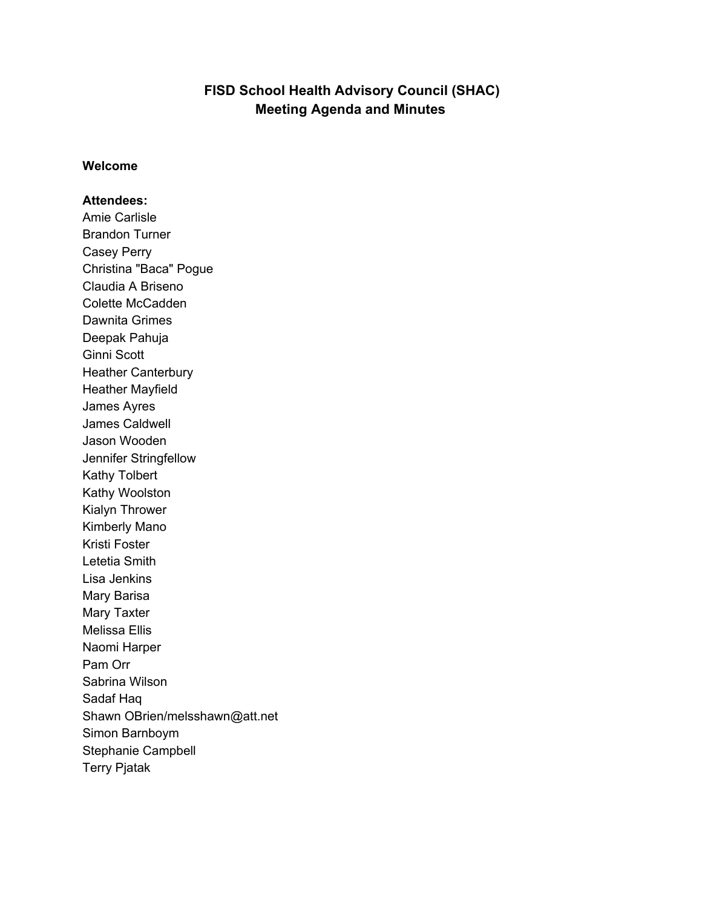# **FISD School Health Advisory Council (SHAC) Meeting Agenda and Minutes**

#### **Welcome**

#### **Attendees:**

Amie Carlisle Brandon Turner Casey Perry Christina "Baca" Pogue Claudia A Briseno Colette McCadden Dawnita Grimes Deepak Pahuja Ginni Scott Heather Canterbury Heather Mayfield James Ayres James Caldwell Jason Wooden Jennifer Stringfellow Kathy Tolbert Kathy Woolston Kialyn Thrower Kimberly Mano Kristi Foster Letetia Smith Lisa Jenkins Mary Barisa Mary Taxter Melissa Ellis Naomi Harper Pam Orr Sabrina Wilson Sadaf Haq Shawn OBrien/melsshawn@att.net Simon Barnboym Stephanie Campbell Terry Pjatak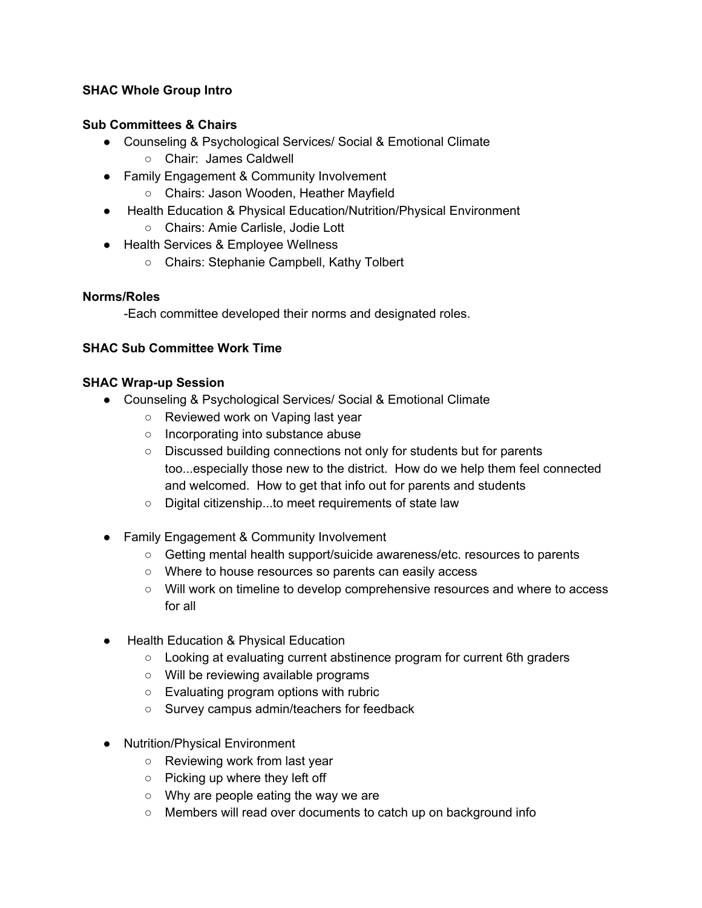## **SHAC Whole Group Intro**

#### **Sub Committees & Chairs**

- Counseling & Psychological Services/ Social & Emotional Climate
	- Chair: James Caldwell
- Family Engagement & Community Involvement
	- Chairs: Jason Wooden, Heather Mayfield
- Health Education & Physical Education/Nutrition/Physical Environment ○ Chairs: Amie Carlisle, Jodie Lott
- Health Services & Employee Wellness
	- Chairs: Stephanie Campbell, Kathy Tolbert

#### **Norms/Roles**

-Each committee developed their norms and designated roles.

#### **SHAC Sub Committee Work Time**

#### **SHAC Wrap-up Session**

- Counseling & Psychological Services/ Social & Emotional Climate
	- Reviewed work on Vaping last year
	- Incorporating into substance abuse
	- Discussed building connections not only for students but for parents too...especially those new to the district. How do we help them feel connected and welcomed. How to get that info out for parents and students
	- Digital citizenship...to meet requirements of state law
- Family Engagement & Community Involvement
	- Getting mental health support/suicide awareness/etc. resources to parents
	- Where to house resources so parents can easily access
	- Will work on timeline to develop comprehensive resources and where to access for all
- Health Education & Physical Education
	- Looking at evaluating current abstinence program for current 6th graders
	- Will be reviewing available programs
	- Evaluating program options with rubric
	- Survey campus admin/teachers for feedback
- Nutrition/Physical Environment
	- Reviewing work from last year
	- Picking up where they left off
	- Why are people eating the way we are
	- Members will read over documents to catch up on background info